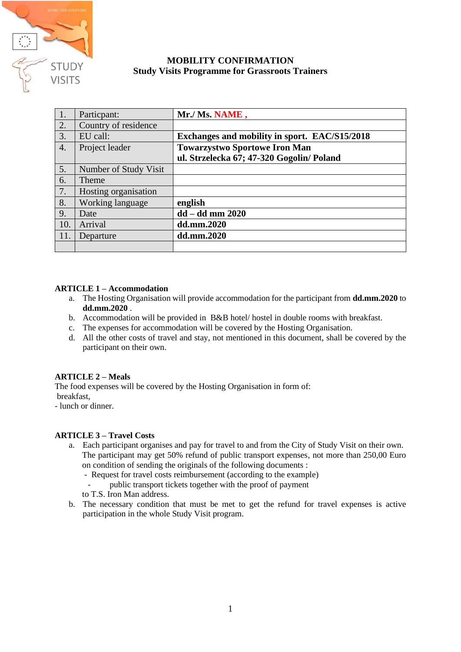

# **MOBILITY CONFIRMATION Study Visits Programme for Grassroots Trainers**

| 1.               | Particpant:           | Mr./ Ms. NAME,                                |
|------------------|-----------------------|-----------------------------------------------|
| $\overline{2}$ . | Country of residence  |                                               |
| 3.               | EU call:              | Exchanges and mobility in sport. EAC/S15/2018 |
| $\overline{4}$ . | Project leader        | <b>Towarzystwo Sportowe Iron Man</b>          |
|                  |                       | ul. Strzelecka 67; 47-320 Gogolin/ Poland     |
| 5.               | Number of Study Visit |                                               |
| 6.               | Theme                 |                                               |
| 7.               | Hosting organisation  |                                               |
| 8.               | Working language      | english                                       |
| 9.               | Date                  | $dd - dd$ mm $2020$                           |
| 10.              | Arrival               | dd.mm.2020                                    |
| 11.              | Departure             | dd.mm.2020                                    |
|                  |                       |                                               |

# **ARTICLE 1 – Accommodation**

- a. The Hosting Organisation will provide accommodation for the participant from **dd.mm.2020** to **dd.mm.2020** .
- b. Accommodation will be provided in B&B hotel/ hostel in double rooms with breakfast.
- c. The expenses for accommodation will be covered by the Hosting Organisation.
- d. All the other costs of travel and stay, not mentioned in this document, shall be covered by the participant on their own.

# **ARTICLE 2 – Meals**

The food expenses will be covered by the Hosting Organisation in form of: breakfast,

- lunch or dinner.

#### **ARTICLE 3 – Travel Costs**

- a. Each participant organises and pay for travel to and from the City of Study Visit on their own. The participant may get 50% refund of public transport expenses, not more than 250,00 Euro on condition of sending the originals of the following documents :
	- Request for travel costs reimbursement (according to the example)
	- public transport tickets together with the proof of payment
	- to T.S. Iron Man address.
- b. The necessary condition that must be met to get the refund for travel expenses is active participation in the whole Study Visit program.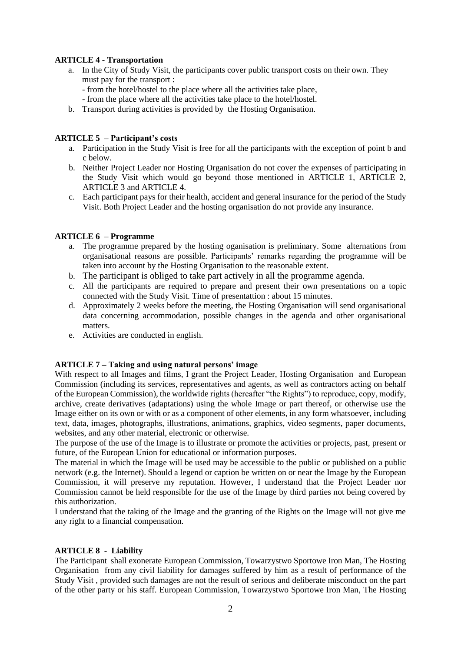# **ARTICLE 4 - Transportation**

- a. In the City of Study Visit, the participants cover public transport costs on their own. They must pay for the transport :
	- from the hotel/hostel to the place where all the activities take place,
	- from the place where all the activities take place to the hotel/hostel.
- b. Transport during activities is provided by the Hosting Organisation.

# **ARTICLE 5 – Participant's costs**

- a. Participation in the Study Visit is free for all the participants with the exception of point b and c below.
- b. Neither Project Leader nor Hosting Organisation do not cover the expenses of participating in the Study Visit which would go beyond those mentioned in ARTICLE 1, ARTICLE 2, ARTICLE 3 and ARTICLE 4.
- c. Each participant pays for their health, accident and general insurance for the period of the Study Visit. Both Project Leader and the hosting organisation do not provide any insurance.

## **ARTICLE 6 – Programme**

- a. The programme prepared by the hosting oganisation is preliminary. Some alternations from organisational reasons are possible. Participants' remarks regarding the programme will be taken into account by the Hosting Organisation to the reasonable extent.
- b. The participant is obliged to take part actively in all the programme agenda.
- c. All the participants are required to prepare and present their own presentations on a topic connected with the Study Visit. Time of presentattion : about 15 minutes.
- d. Approximately 2 weeks before the meeting, the Hosting Organisation will send organisational data concerning accommodation, possible changes in the agenda and other organisational matters.
- e. Activities are conducted in english.

#### **ARTICLE 7 – Taking and using natural persons' image**

With respect to all Images and films, I grant the Project Leader, Hosting Organisation and European Commission (including its services, representatives and agents, as well as contractors acting on behalf of the European Commission), the worldwide rights (hereafter "the Rights") to reproduce, copy, modify, archive, create derivatives (adaptations) using the whole Image or part thereof, or otherwise use the Image either on its own or with or as a component of other elements, in any form whatsoever, including text, data, images, photographs, illustrations, animations, graphics, video segments, paper documents, websites, and any other material, electronic or otherwise.

The purpose of the use of the Image is to illustrate or promote the activities or projects, past, present or future, of the European Union for educational or information purposes.

The material in which the Image will be used may be accessible to the public or published on a public network (e.g. the Internet). Should a legend or caption be written on or near the Image by the European Commission, it will preserve my reputation. However, I understand that the Project Leader nor Commission cannot be held responsible for the use of the Image by third parties not being covered by this authorization.

I understand that the taking of the Image and the granting of the Rights on the Image will not give me any right to a financial compensation.

#### **ARTICLE 8 - Liability**

The Participant shall exonerate European Commission, Towarzystwo Sportowe Iron Man, The Hosting Organisation from any civil liability for damages suffered by him as a result of performance of the Study Visit , provided such damages are not the result of serious and deliberate misconduct on the part of the other party or his staff. European Commission, Towarzystwo Sportowe Iron Man, The Hosting